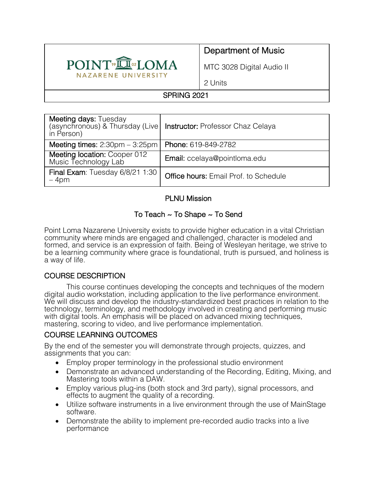

# Department of Music

MTC 3028 Digital Audio II

2 Units

# SPRING 2021

| <b>Meeting days: Tuesday</b><br>in Person)           | (asynchronous) & Thursday (Live   Instructor: Professor Chaz Celaya |
|------------------------------------------------------|---------------------------------------------------------------------|
| Meeting times: $2:30 \text{pm} - 3:25 \text{pm}$     | Phone: 619-849-2782                                                 |
| Meeting location: Cooper 012<br>Music Technology Lab | Email: ccelaya@pointloma.edu                                        |
| Final Exam: Tuesday 6/8/21 1:30<br>$-4pm$            | <b>Office hours: Email Prof. to Schedule</b>                        |

## PLNU Mission

# To Teach ~ To Shape ~ To Send

Point Loma Nazarene University exists to provide higher education in a vital Christian community where minds are engaged and challenged, character is modeled and formed, and service is an expression of faith. Being of Wesleyan heritage, we strive to be a learning community where grace is foundational, truth is pursued, and holiness is a way of life.

#### COURSE DESCRIPTION

This course continues developing the concepts and techniques of the modern digital audio workstation, including application to the live performance environment. We will discuss and develop the industry-standardized best practices in relation to the technology, terminology, and methodology involved in creating and performing music with digital tools. An emphasis will be placed on advanced mixing techniques, mastering, scoring to video, and live performance implementation.

# COURSE LEARNING OUTCOMES

By the end of the semester you will demonstrate through projects, quizzes, and assignments that you can:

- Employ proper terminology in the professional studio environment
- Demonstrate an advanced understanding of the Recording, Editing, Mixing, and Mastering tools within a DAW.
- Employ various plug-ins (both stock and 3rd party), signal processors, and effects to augment the quality of a recording.
- Utilize software instruments in a live environment through the use of MainStage software.
- Demonstrate the ability to implement pre-recorded audio tracks into a live performance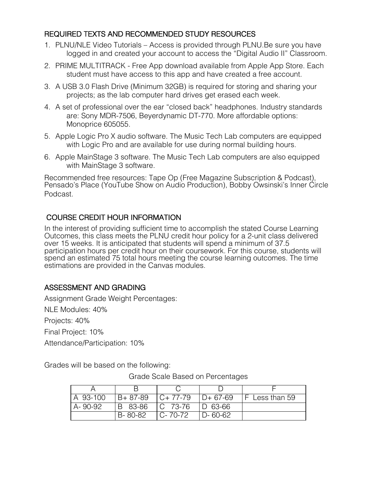#### REQUIRED TEXTS AND RECOMMENDED STUDY RESOURCES

- 1. PLNU/NLE Video Tutorials Access is provided through PLNU.Be sure you have logged in and created your account to access the "Digital Audio II" Classroom.
- 2. PRIME MULTITRACK Free App download available from Apple App Store. Each student must have access to this app and have created a free account.
- 3. A USB 3.0 Flash Drive (Minimum 32GB) is required for storing and sharing your projects; as the lab computer hard drives get erased each week.
- 4. A set of professional over the ear "closed back" headphones. Industry standards are: Sony MDR-7506, Beyerdynamic DT-770. More affordable options: Monoprice 605055.
- 5. Apple Logic Pro X audio software. The Music Tech Lab computers are equipped with Logic Pro and are available for use during normal building hours.
- 6. Apple MainStage 3 software. The Music Tech Lab computers are also equipped with MainStage 3 software.

Recommended free resources: Tape Op (Free Magazine Subscription & Podcast), Pensado's Place (YouTube Show on Audio Production), Bobby Owsinski's Inner Circle Podcast.

COURSE CREDIT HOUR INFORMATION<br>In the interest of providing sufficient time to accomplish the stated Course Learning Outcomes, this class meets the PLNU credit hour policy for a 2-unit class delivered over 15 weeks. It is anticipated that students will spend a minimum of 37.5 participation hours per credit hour on their coursework. For this course, students will spend an estimated 75 total hours meeting the course learning outcomes. The time estimations are provided in the Canvas modules.

## ASSESSMENT AND GRADING

Assignment Grade Weight Percentages: NLE Modules: 40% Projects: 40% Final Project: 10% Attendance/Participation: 10%

Grades will be based on the following:

| A 93-100 | $B + 87 - 89$ | $C+77-79$  | $ID + 67-69$  | <b>F</b> Less than 59 |
|----------|---------------|------------|---------------|-----------------------|
| A-90-92  | IB 83-86      | IC 73-76   | D 63-66       |                       |
|          | B-80-82       | I C- 70-72 | $D - 60 - 62$ |                       |

Grade Scale Based on Percentages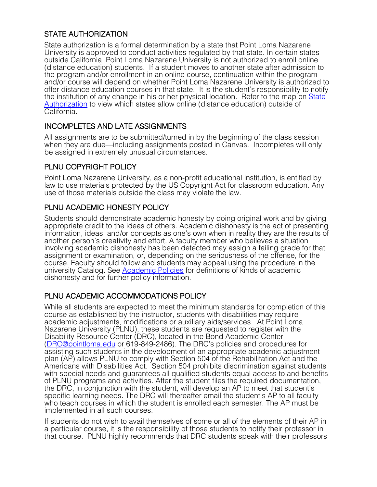# STATE AUTHORIZATION

State authorization is a formal determination by a state that Point Loma Nazarene University is approved to conduct activities regulated by that state. In certain states outside California, Point Loma Nazarene University is not authorized to enroll online (distance education) students. If a student moves to another state after admission to the program and/or enrollment in an online course, continuation within the program and/or course will depend on whether Point Loma Nazarene University is authorized to offer distance education courses in that state. It is the student's responsibility to notify the institution of any change in his or her physical location. Refer to the map on State Authorization to view which states allow online (distance education) outside of California.

## INCOMPLETES AND LATE ASSIGNMENTS

All assignments are to be submitted/turned in by the beginning of the class session when they are due—including assignments posted in Canvas. Incompletes will only be assigned in extremely unusual circumstances.

## PLNU COPYRIGHT POLICY

Point Loma Nazarene University, as a non-profit educational institution, is entitled by law to use materials protected by the US Copyright Act for classroom education. Any use of those materials outside the class may violate the law.

# PLNU ACADEMIC HONESTY POLICY

Students should demonstrate academic honesty by doing original work and by giving appropriate credit to the ideas of others. Academic dishonesty is the act of presenting information, ideas, and/or concepts as one's own when in reality they are the results of another person's creativity and effort. A faculty member who believes a situation involving academic dishonesty has been detected may assign a failing grade for that assignment or examination, or, depending on the seriousness of the offense, for the course. Faculty should follow and students may appeal using the procedure in the university Catalog. See Academic Policies for definitions of kinds of academic dishonesty and for further policy information.

## PLNU ACADEMIC ACCOMMODATIONS POLICY

While all students are expected to meet the minimum standards for completion of this course as established by the instructor, students with disabilities may require academic adjustments, modifications or auxiliary aids/services. At Point Loma Nazarene University (PLNU), these students are requested to register with the Disability Resource Center (DRC), located in the Bond Academic Center (DRC@pointloma.edu or 619-849-2486). The DRC's policies and procedures for assisting such students in the development of an appropriate academic adjustment plan (AP) allows PLNU to comply with Section 504 of the Rehabilitation Act and the Americans with Disabilities Act. Section 504 prohibits discrimination against students with special needs and guarantees all qualified students equal access to and benefits of PLNU programs and activities. After the student files the required documentation, the DRC, in conjunction with the student, will develop an AP to meet that student's specific learning needs. The DRC will thereafter email the student's AP to all faculty who teach courses in which the student is enrolled each semester. The AP must be implemented in all such courses.

If students do not wish to avail themselves of some or all of the elements of their AP in a particular course, it is the responsibility of those students to notify their professor in that course. PLNU highly recommends that DRC students speak with their professors